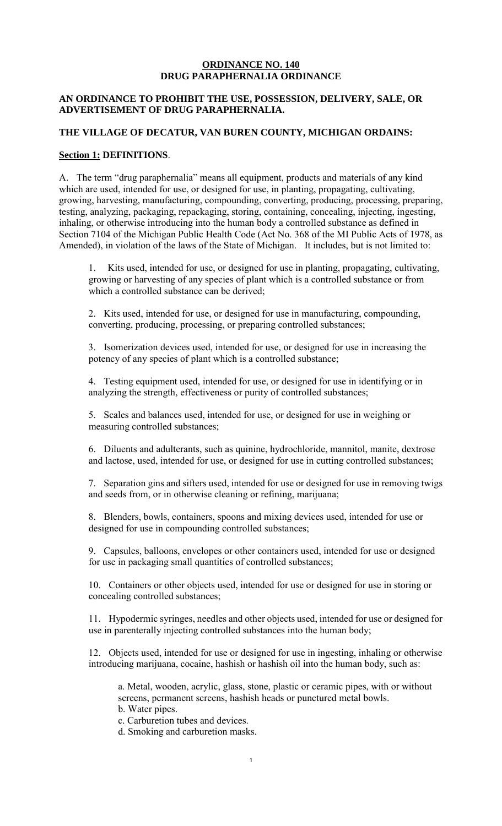## **ORDINANCE NO. 140 DRUG PARAPHERNALIA ORDINANCE**

# **AN ORDINANCE TO PROHIBIT THE USE, POSSESSION, DELIVERY, SALE, OR ADVERTISEMENT OF DRUG PARAPHERNALIA.**

#### **THE VILLAGE OF DECATUR, VAN BUREN COUNTY, MICHIGAN ORDAINS:**

## **Section 1: DEFINITIONS**.

A. The term "drug paraphernalia" means all equipment, products and materials of any kind which are used, intended for use, or designed for use, in planting, propagating, cultivating, growing, harvesting, manufacturing, compounding, converting, producing, processing, preparing, testing, analyzing, packaging, repackaging, storing, containing, concealing, injecting, ingesting, inhaling, or otherwise introducing into the human body a controlled substance as defined in Section 7104 of the Michigan Public Health Code (Act No. 368 of the MI Public Acts of 1978, as Amended), in violation of the laws of the State of Michigan. It includes, but is not limited to:

1. Kits used, intended for use, or designed for use in planting, propagating, cultivating, growing or harvesting of any species of plant which is a controlled substance or from which a controlled substance can be derived;

2. Kits used, intended for use, or designed for use in manufacturing, compounding, converting, producing, processing, or preparing controlled substances;

3. Isomerization devices used, intended for use, or designed for use in increasing the potency of any species of plant which is a controlled substance;

4. Testing equipment used, intended for use, or designed for use in identifying or in analyzing the strength, effectiveness or purity of controlled substances;

5. Scales and balances used, intended for use, or designed for use in weighing or measuring controlled substances;

6. Diluents and adulterants, such as quinine, hydrochloride, mannitol, manite, dextrose and lactose, used, intended for use, or designed for use in cutting controlled substances;

7. Separation gins and sifters used, intended for use or designed for use in removing twigs and seeds from, or in otherwise cleaning or refining, marijuana;

8. Blenders, bowls, containers, spoons and mixing devices used, intended for use or designed for use in compounding controlled substances;

9. Capsules, balloons, envelopes or other containers used, intended for use or designed for use in packaging small quantities of controlled substances;

10. Containers or other objects used, intended for use or designed for use in storing or concealing controlled substances;

11. Hypodermic syringes, needles and other objects used, intended for use or designed for use in parenterally injecting controlled substances into the human body;

12. Objects used, intended for use or designed for use in ingesting, inhaling or otherwise introducing marijuana, cocaine, hashish or hashish oil into the human body, such as:

a. Metal, wooden, acrylic, glass, stone, plastic or ceramic pipes, with or without screens, permanent screens, hashish heads or punctured metal bowls.

b. Water pipes.

c. Carburetion tubes and devices.

d. Smoking and carburetion masks.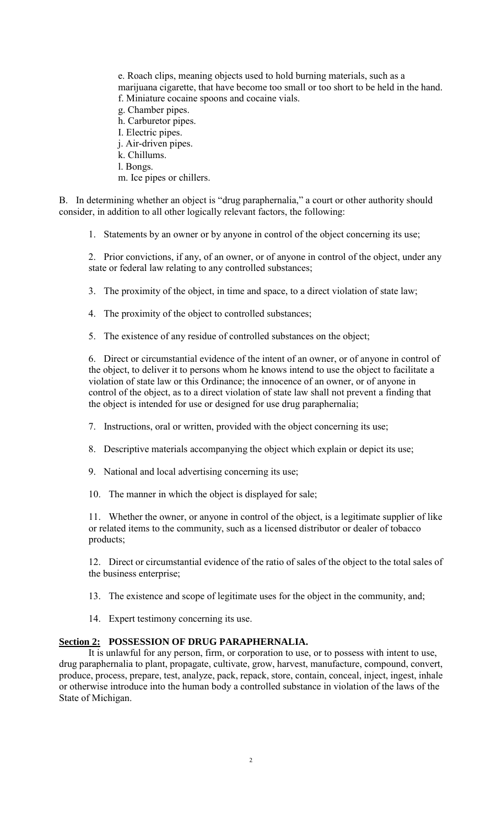e. Roach clips, meaning objects used to hold burning materials, such as a marijuana cigarette, that have become too small or too short to be held in the hand. f. Miniature cocaine spoons and cocaine vials. g. Chamber pipes. h. Carburetor pipes. I. Electric pipes. j. Air-driven pipes.

k. Chillums.

l. Bongs.

m. Ice pipes or chillers.

B. In determining whether an object is "drug paraphernalia," a court or other authority should consider, in addition to all other logically relevant factors, the following:

1. Statements by an owner or by anyone in control of the object concerning its use;

2. Prior convictions, if any, of an owner, or of anyone in control of the object, under any state or federal law relating to any controlled substances;

3. The proximity of the object, in time and space, to a direct violation of state law;

4. The proximity of the object to controlled substances;

5. The existence of any residue of controlled substances on the object;

6. Direct or circumstantial evidence of the intent of an owner, or of anyone in control of the object, to deliver it to persons whom he knows intend to use the object to facilitate a violation of state law or this Ordinance; the innocence of an owner, or of anyone in control of the object, as to a direct violation of state law shall not prevent a finding that the object is intended for use or designed for use drug paraphernalia;

7. Instructions, oral or written, provided with the object concerning its use;

8. Descriptive materials accompanying the object which explain or depict its use;

9. National and local advertising concerning its use;

10. The manner in which the object is displayed for sale;

11. Whether the owner, or anyone in control of the object, is a legitimate supplier of like or related items to the community, such as a licensed distributor or dealer of tobacco products;

12. Direct or circumstantial evidence of the ratio of sales of the object to the total sales of the business enterprise;

13. The existence and scope of legitimate uses for the object in the community, and;

14. Expert testimony concerning its use.

# **Section 2: POSSESSION OF DRUG PARAPHERNALIA.**

It is unlawful for any person, firm, or corporation to use, or to possess with intent to use, drug paraphernalia to plant, propagate, cultivate, grow, harvest, manufacture, compound, convert, produce, process, prepare, test, analyze, pack, repack, store, contain, conceal, inject, ingest, inhale or otherwise introduce into the human body a controlled substance in violation of the laws of the State of Michigan.